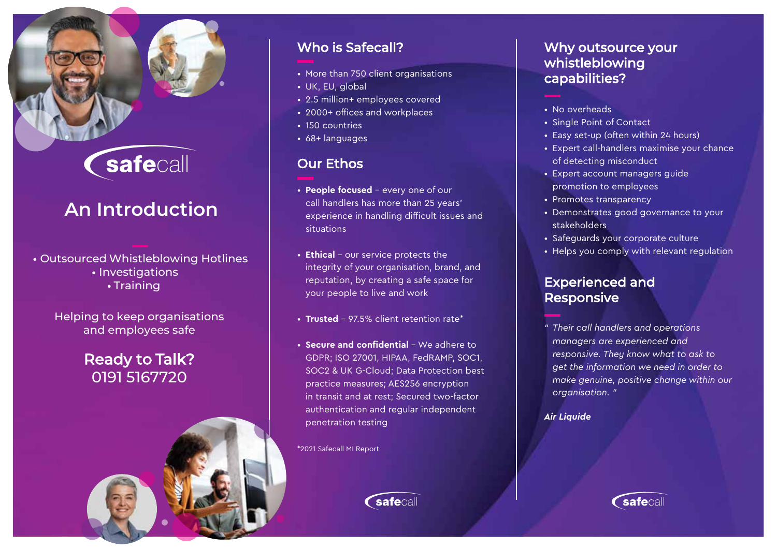# Safecall

# **An Introduction**

#### • Outsourced Whistleblowing Hotlines

- Investigations
	- Training

Helping to keep organisations and employees safe

# Ready to Talk? 0191 5167720



- More than 750 client organisations
- UK, EU, global
- 2.5 million+ employees covered
- 2000+ offices and workplaces
- 150 countries
- 68+ languages

## Our Ethos

- **People focused** every one of our call handlers has more than 25 years' experience in handling difficult issues and situations
- **Ethical** our service protects the integrity of your organisation, brand, and reputation, by creating a safe space for your people to live and work
- **Trusted**  97.5% client retention rate\*
- **Secure and confidential** We adhere to GDPR; ISO 27001, HIPAA, FedRAMP, SOC1, SOC2 & UK G-Cloud; Data Protection best practice measures; AES256 encryption in transit and at rest; Secured two-factor authentication and regular independent penetration testing

\*2021 Safecall MI Report

# *C*safecall

### Why outsource your whistleblowing capabilities?

- 
- No overheads
- Single Point of Contact
- Easy set-up (often within 24 hours)
- Expert call-handlers maximise your chance of detecting misconduct
- Expert account managers guide promotion to employees
- Promotes transparency
- Demonstrates good governance to your stakeholders
- Safeguards your corporate culture
- Helps you comply with relevant regulation

### Experienced and Responsive

*" Their call handlers and operations managers are experienced and responsive. They know what to ask to get the information we need in order to make genuine, positive change within our organisation. "*

#### *Air Liquide*